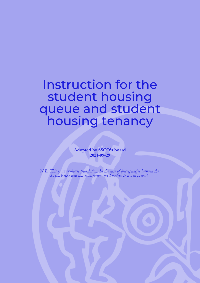Instruction for the student housing queue and student housing tenancy

> **Adopted by SSCO's board 2021-09-29**

*N.B. This is an in-house translation. In the case of discrepancies between the Swedish text and this translation, the Swedish text will prevail.*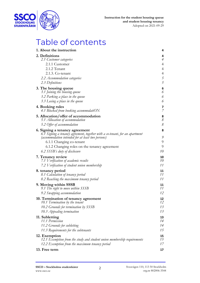

## Table of contents

| 1. About the instruction                                                                                       | 4                   |
|----------------------------------------------------------------------------------------------------------------|---------------------|
| 2. Definitions                                                                                                 | 4                   |
| 2.1 Customer categories                                                                                        | $\overline{A}$      |
| 2.1.1 Customer                                                                                                 | $\overline{4}$      |
| 2.1.2 Tenant                                                                                                   | $\overline{4}$      |
| 2.1.3. Co-tenant                                                                                               | $\overline{4}$      |
| 2.2 Accommodation categories                                                                                   | $\overline{5}$      |
| 2.3 Definitions                                                                                                | 5                   |
| 3. The housing queue<br>3.1 Joining the housing queue                                                          | 6<br>6              |
| 3.2 Parking a place in the queue                                                                               | 6                   |
| 3.3 Losing a place in the queue                                                                                | 6                   |
| 4. Booking rules<br>4.1 Blocked from booking accommodatiON                                                     | 7<br>$\overline{7}$ |
| 5. Allocation/offer of accommodation<br>5.1 Allocation of accommodation                                        | 8<br>$\mathcal S$   |
| 5.2 Offer of accommodation                                                                                     | $\mathcal S$        |
| 6. Signing a tenancy agreement<br>6.1 Signing a tenancy agreement, together with a co-tenant, for an apartment | 8                   |
| (accommodation intended for at least two persons)                                                              | 9<br>9              |
| 6.1.1 Changing co-tenant                                                                                       | 9                   |
| 6.1.2 Changing roles on the tenancy agreement<br>6.2 SSSB's duty of disclosure                                 | 10                  |
| 7. Tenancy review                                                                                              | 10                  |
| 7.1 Verification of academic results                                                                           | 10                  |
| 7.2 Verification of student union membership                                                                   | 11                  |
| 8. tenancy period                                                                                              | 11<br>11            |
| 8.1 Calculation of tenancy period<br>8.2 Reaching the maximum tenancy period                                   | 11                  |
|                                                                                                                |                     |
| 9. Moving within SSSB<br>9.1 The right to move within SSSB                                                     | 11<br>11            |
| 9.2 Swapping accommodation                                                                                     | 12                  |
|                                                                                                                | 12                  |
| 10. Termination of tenancy agreement<br>10.1 Termination by the tenant                                         | 12                  |
| 10.2 Grounds for termination by SSSB                                                                           | 13                  |
| 10.3 Appealing termination                                                                                     | 13                  |
| 11. Subletting                                                                                                 | 13                  |
| 11.1 Permission                                                                                                | 14                  |
| 11.2 Grounds for subletting                                                                                    | 14                  |
| 11.3 Requirements for the subtenants                                                                           | 15                  |
| 12. Exemption                                                                                                  | 15                  |
| 12.1 Exemption from the study and student union membership requirements                                        | 15                  |
| 12.2 Exemption from the maximum tenancy period                                                                 | 17                  |
| 13. Free term                                                                                                  | 17                  |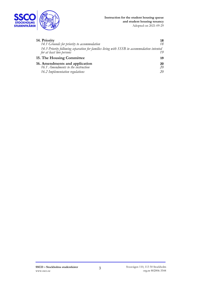

| 14. Priority                                                                                                           | 18 |
|------------------------------------------------------------------------------------------------------------------------|----|
| 14.1 Grounds for priority to accommodation                                                                             | 18 |
| 14.3 Priority following separation for families living with SSSB in accommodation intented<br>for at least two persons | 19 |
| 15. The Housing Committee                                                                                              | 19 |
| 16. Amendments and application                                                                                         |    |
| 16.1 Amendments to the instruction                                                                                     | 20 |
| 16.2 Implementation regulations                                                                                        | 20 |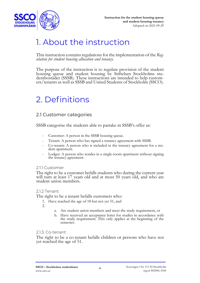

## 1. About the instruction

This instruction contains regulations for the implementation of the *Reg- ulation for student housing allocation and tenancy*.

The purpose of the instruction is to regulate provision of the student housing queue and student housing by Stiftelsen Stockholms studentbostäder (SSSB). These instructions are intended to help customers/tenants as well as SSSB and United Students of Stockholm (SSCO).

# 2. Definitions

### 2.1 Customer categories

SSSB categorise the students able to partake in SSSB's offer as:

- Customer: A person in the SSSB housing queue.
- Tenant: A person who has signed a tenancy agreement with SSSB.
- Co-tenant: A person who is included in the tenency agreement for a stu- dent apartment.
- Lodger: A person who resides in a single-room apartment without signing the tenancy agreement.

#### 2.1.1 Customer

The right to be a customer befalls students who during the current year will turn at least 17 years old and at most 50 years old, and who are student union members.

#### 2.1.2 Tenant

The right to be a tenant befalls customers who:

1. Have reached the age of 18 but not yet 51, and

2.

- a. Are student union members and meet the study requirement, or
- b. Have received an acceptance letter for studies in accordance with the study requirement. This only applies at the beginning of the semester.

#### 2.1.3. Co-tenant

The right to be a co-tenant befalls children or persons who have not yet reached the age of 51.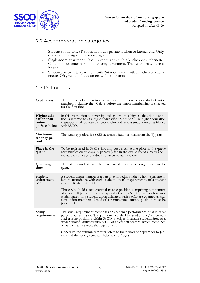

### 2.2 Accommodation categories

- Student room: One (1) room without a private kitchen or kitchenette. Only one customer signs the tenancy agreement.
- Single-room apartment: One (1) room and/with a kitchen or kitchenette. Only one customer signs the tenancy agreement. The tenant may have a lodger.
- Student apartment: Apartment with 2-4 rooms and/with a kitchen or kitchenette. Only rented to customers with co-tenants.

### 2.3 Definitions

| Credit days                                              | The number of days someone has been in the queue as a student union<br>member, including the 90 days before the union membership is checked<br>for the first time.                                                                                                                                                                                 |
|----------------------------------------------------------|----------------------------------------------------------------------------------------------------------------------------------------------------------------------------------------------------------------------------------------------------------------------------------------------------------------------------------------------------|
| Higher edu-<br>cation insti-<br>tution<br>(in Stockholm) | In this instruction a university, college or other higher education institu-<br>tion is referred to as a higher education institution. The higher education<br>institution shall be active in Stockholm and have a student union affiliated<br>with SSCO.                                                                                          |
| Maximum<br>tenancy pe-<br>riod                           | The tenancy period for SSSB accommodation is maximum six (6) years.                                                                                                                                                                                                                                                                                |
| Place in the<br>queue                                    | To be registered in SSSB's housing queue. An active place in the queue<br>accumulates credit days. A parked place in the queue keeps already accu-<br>mulated credit days but does not accumulate new ones.                                                                                                                                        |
| Queueing<br>time                                         | The total period of time that has passed since registering a place in the<br>queue.                                                                                                                                                                                                                                                                |
| Student<br>union mem-<br>ber                             | A student union member is a person enrolled in studies who is a full mem-<br>ber, in accordance with each student union's requirements, of a student<br>union affiliated with SSCO.                                                                                                                                                                |
|                                                          | Those who hold a remunerated trustee position comprising a minimum<br>of at least 50 percent full-time equivalent within SSCO, Sveriges forenade<br>studentkårer, or a student union affiliated with SSCO are counted as stu-<br>dent union members. Proof of a remunerated trustee position must be<br>presented.                                 |
| Study<br>requirement                                     | The study requirement comprises an academic performance of at least 50<br>percent per semester. The performance shall be studies and/or reumer-<br>ated trustee positions within SSCO, Sveriges förenade studentkårer, or a<br>student union affiliated with SSCO of at least 50 percent, which combined<br>or by themselves meet the requirement. |
|                                                          | Generally, the autumn semester refers to the period of September to Jan-<br>uary and the spring semester February to August.                                                                                                                                                                                                                       |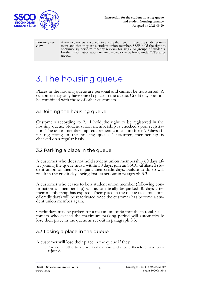

| Tenancy re-<br>view | A tenancy review is a check to ensure that tenants meet the study require-<br>ment and that they are a student union member. SSSB hold the right to<br>continuously perform tenancy reviews for single or groups of students.<br>Further information about tenancy reviews can be found under 7. Tenancy<br>review. |
|---------------------|---------------------------------------------------------------------------------------------------------------------------------------------------------------------------------------------------------------------------------------------------------------------------------------------------------------------|
|---------------------|---------------------------------------------------------------------------------------------------------------------------------------------------------------------------------------------------------------------------------------------------------------------------------------------------------------------|

## 3. The housing queue

Places in the housing queue are personal and cannot be transferred. A customer may only have one (1) place in the queue. Credit days cannot be combined with those of other customers.

#### 3.1 Joining the housing queue

Customers according to 2.1.1 hold the right to be registered in the housing queue. Student union membership is checked upon registra- tion. The union membership requirement comes into force 90 days after registering in the housing queue. Thereafter, membership is checked on a regular basis.

#### 3.2 Parking a place in the queue

A customer who does not hold student union membership 60 days after joining the queue must, within 30 days, join an SSCO-affiliated student union or themselves park their credit days. Failure to do so will result in the credit days being lost, as set out in paragraph 3.3.

A customer who ceases to be a student union member (following confirmation of membership) will automatically be parked 30 days after their membership has expired. Their place in the queue (accumulation of credit days) will be reactivated once the customer has become a student union member again.

Credit days may be parked for a maximum of 36 months in total. Customers who exceed the maximum parking period will automatically lose their place in the queue as set out in paragraph 3.3.

#### 3.3 Losing a place in the queue

A customer will lose their place in the queue if they:

1. Are not entitled to a place in the queue and should therefore have been rejected.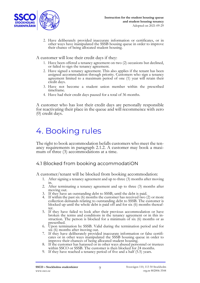

2. Have deliberately provided inaccurate information or certificates, or in other ways have manipulated the SSSB housing queue in order to improve their chance of being allocated student housing.

A customer will lose their credit days if they:

- 1. Have been offered a tenancy agreement on two (2) occasions but declined, or failed to sign the tenancy agreement.
- 2. Have signed a tenancy agreement. This also applies if the tenant has been assigned accommodation through priority. Customers who sign a tenancy agreement limited to a maximum period of one (1) year will retain their credit days.
- 3. Have not become a student union member within the prescribed timeframe.
- 4. Have had their credit days paused for a total of 36 months.

A customer who has lost their credit days are personally responsible for reactivating their place in the queue and will recommence with zero (0) credit days.

## 4. Booking rules

The right to book accommodation befalls customers who meet the tenancy requirements in paragraph 2.1.2. A customer may book a maximum of three (3) accommodations at a time.

#### 4.1 Blocked from booking accommodatiON

A customer/tenant will be blocked from booking accommodation:

- 1. After signing a tenancy agreement and up to three (3) months after moving in.
- 2. After terminating a tenancy agreement and up to three (3) months after moving out.
- 3. If they have an outstanding debt to SSSB, until the debt is paid.
- 4. If within the past six (6) months the customer has received two (2) or more collection demands relating to outstanding debt to SSSB. The customer is blocked up until the whole debt is paid off and for six (6) months thereafter.
- 5. If they have failed to look after their previous accommodation or have broken the terms and conditions in the tenancy agreement or in this instruction. The person is blocked for a minimum of six (6) months or as
- prescribed.<br>6. Upon termination by SSSB. Valid during the termination period and for 6. Upon termination by SSSB. Valid during the termination period and for six (6) months after moving out.
- 7. If they have deliberately provided inaccurate information or false certificates or in other ways manipulated the SSSB housing queue in order to improve their chances of being allocated student housing.
- 8. If the customer has harassed or in other ways abused personnel or trustees within SSCO or SSSB. The customer is then blocked for 24 months.
- 9. If they have reached a tenancy period of five and a half (5.5) years.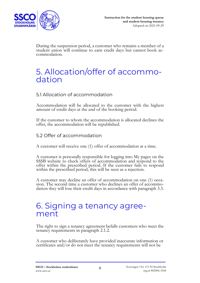

During the suspension period, a customer who remains a member of a student union will continue to earn credit days but cannot book accommodation.

### 5. Allocation/offer of accommodation

#### 5.1 Allocation of accommodation

Accommodation will be allocated to the customer with the highest amount of credit days at the end of the booking period.

If the customer to whom the accommodation is allocated declines the offer, the accommodation will be republished.

#### 5.2 Offer of accommodation

A customer will receive one (1) offer of accommodation at a time.

<sup>A</sup> customer is personally responsible for logging into My pages on the SSSB website to check offers of accommodation and respond to the offer within the prescribed period. If the customer fails to respond within the prescribed period, this will be seen as a rejection.

A customer may decline an offer of accommodation on one (1) occasion. The second time a customer who declines an offer of accommodation they will lose their credit days in accordance with paragraph 3.3.

### 6. Signing a tenancy agreement

The right to sign a tenancy agreement befalls customers who meet the tenancy requirements in paragraph 2.1.2.

A customer who deliberately have provided inaccurate information or certificates and/or do not meet the tenancy requirements will not be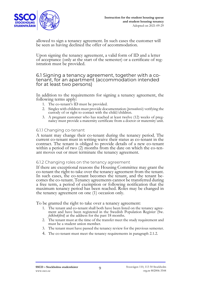

allowed to sign a tenancy agreement. In such cases the customer will be seen as having declined the offer of accommodation.

Upon signing the tenancy agreement, a valid form of ID and a letter of acceptance (only at the start of the semester) or a certificate of registration must be provided.

### 6.1 Signing a tenancy agreement, together with a co- tenant, for an apartment (accommodation intended for at least two persons)

In addition to the requirements for signing a tenancy agreement, the following terms apply:

- 1. The co-tenant's ID must be provided.
- 2. Singles with children must provide documentation (*personbevis*) verifying the custody of or right to contact with the child/children.
- 3. A pregnant customer who has reached at least twelve (12) weeks of pregnancy must provide a maternity certificate from a doctor or maternity unit.

#### 6.1.1 Changing co-tenant

A tenant may change their co-tenant during the tenancy period. The current co-tenant must in writing waive their status as co-tenant in the contract. The tenant is obliged to provide details of a new co-tenant within a period of two (2) months from the date on which the co-tenant moves out or must terminate the tenancy agreement.

#### 6.1.2 Changing roles on the tenancy agreement

If there are exceptional reasons the Housing Committee may grant the co-tenant the right to take over the tenancy agreement from the tenant. In such cases, the co-tenant becomes the tenant, and the tenant becomes the co-tenant. Tenancy agreements cannot be transferred during a free term, a period of exemption or following notification that the maximum tenancy period has been reached. Roles may be changed in the tenancy agreement on one (1) occasion only.

To be granted the right to take over a tenancy agreement:

- 1. The tenant and co-tenant shall both have been listed on the tenancy agree- ment and have been registered in the Swedish Population Register (Sw. *folkbokförd*) at the address for the past 18 months.
- 2. The tenant must at the time of the transfer meet the study requirement and must be a student union member.
- 3. The tenant must have passed the tenancy review for the previous semester.
- 4. The co-tenant must meet the tenancy requirements in paragraph 2.1.2.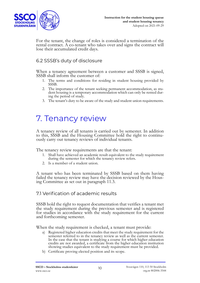

For the tenant, the change of roles is considered a termination of the rental contract. A co-tenant who takes over and signs the contract will lose their accumulated credit days.

#### 6.2 SSSB's duty of disclosure

When a tenancy agreement between a customer and SSSB is signed, SSSB shall inform the customer of:

- 1. The terms and conditions for residing in student housing provided by SSSB.
- 2. The importance of the tenant seeking permanent accommodation, as student housing is a temporary accommodation which can only be rented during the period of study.
- 3. The tenant's duty to be aware of the study and student union requirements.

## 7. Tenancy review

A tenancy review of all tenants is carried out by semester. In addition to this, SSSB and the Housing Committee hold the right to continuously carry out tenancy reviews of individual tenants.

The tenancy review requirements are that the tenant:

- 1. Shall have achieved an academic result equivalent to the study requirement during the semester for which the tenancy review refers.
- 2. Is a member of a student union.

A tenant who has been terminated by SSSB based on them having failed the tenancy review may have the decision reviewed by the Housing Committee as set out in paragraph 11.3.

#### 7.1 Verification of academic results

SSSB hold the right to request documentation that verifies a tenant met for studies in accordance with the study requirement for the current and forthcoming semester.

When the study requirement is checked, a tenant must provide:

- a) Registered higher education credits that meet the study requirement for the semester referred to in the tenancy review as well as the current semester. In the case that the tenant is studying a course for which higher education credits are not awarded, a certificate from the higher education institution showing studies equivalent to the study requirement must be provided.
- b) Certificate proving elected position and its scope.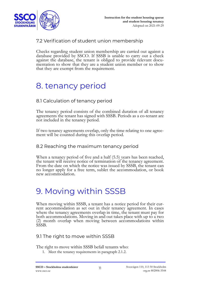

### 7.2 Verification of student union membership

Checks regarding student union membership are carried out against a database provided by SSCO. If SSSB is unable to carry out a check against the database, the tenant is obliged to provide relevant documentation to show that they are a student union member or to show that they are exempt from the requirement.

### 8. tenancy period

### 8.1 Calculation of tenancy period

The tenancy period consists of the combined duration of all tenancy agreements the tenant has signed with SSSB. Periods as a co-tenant are not included in the tenancy period.

If two tenancy agreements overlap, only the time relating to one agreement will be counted during this overlap period.

#### 8.2 Reaching the maximum tenancy period

When a tenancy period of five and a half (5.5) years has been reached, the tenant will receive notice of termination of the tenancy agreement. From the date on which the notice was issued by SSSB, the tenant can no longer apply for a free term, sublet the accommodation, or book new accommodation.

### 9. Moving within SSSB

When moving within SSSB, a tenant has a notice period for their current accommodation as set out in their tenancy agreement. In cases where the tenancy agreements overlap in time, the tenant must pay for both accommodations. Moving in and out takes place with up to a two (2) month overlap when moving between accommodations within SSSB.

#### 9.1 The right to move within SSSB

The right to move within SSSB befall tenants who:

1. Meet the tenancy requirements in paragraph 2.1.2.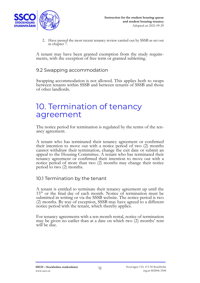

2. Have passed the most recent tenancy review carried out by SSSB as set out in chapter 7.

A tenant may have been granted exemption from the study require- ments, with the exception of free term or granted subletting.

#### 9.2 Swapping accommodation

Swapping accommodation is not allowed. This applies both to swaps between tenants within SSSB and between tenants of SSSB and those of other landlords.

### 10. Termination of tenancy agreement

The notice period for termination is regulated by the terms of the tenancy agreement.

A tenant who has terminated their tenancy agreement or confirmed their intention to move out with a notice period of two (2) months cannot withdraw their termination, change the exit date or submit an appeal to the Housing Committee. A tenant who has terminated their tenancy agreement or confirmed their intention to move out with a notice period of more than two (2) months may change their notice period to two (2) months.

#### 10.1 Termination by the tenant

A tenant is entitled to terminate their tenancy agreement up until the  $15<sup>th</sup>$  or the final day of each month. Notice of termination must be submitted in writing or via the SSSB website. The notice period is two (2) months. By way of exception, SSSB may have agreed to a different notice period with the tenant, which thereby applies.

For tenancy agreements with a ten-month rental, notice of termination may be given no earlier than at a date on which two (2) months' rent will be due.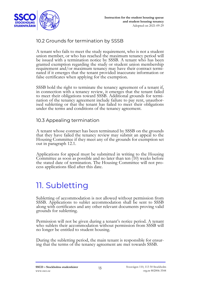

### 10.2 Grounds for termination by SSSB

A tenant who fails to meet the study requirement, who is not a student union member, or who has reached the maximum tenancy period will be issued with a termination notice by SSSB. A tenant who has been granted exemption regarding the study or student union membership requirement and/or maximum tenancy may have their contract terminated if it emerges that the tenant provided inaccurate information or false certificates when applying for the exemption.

SSSB hold the right to terminate the tenancy agreement of a tenant if, in connection with a tenancy review, it emerges that the tenant failed to meet their obligations toward SSSB. Additional grounds for termination of the tenancy agreement include failure to pay rent, unauthor- ised subletting or that the tenant has failed to meet their obligations under the terms and conditions of the tenancy agreement.

#### 10.3 Appealing termination

A tenant whose contract has been terminated by SSSB on the grounds that they have failed the tenancy review may submit an appeal to the Housing Committee if they meet any of the grounds for exemption set out in paragraph 12.1.

Applications for appeal must be submitted in writing to the Housing Committee as soon as possible and no later than ten (10) weeks before the stated date of termination. The Housing Committee will not process applications filed after this date.

## 11. Subletting

Subletting of accommodation is not allowed without permission from SSSB. Applications to sublet accommodation shall be sent to SSSB along with certificates and any other relevant documents proving valid grounds for subletting.

Permission will not be given during a tenant's notice period. A tenant who sublets their accommodation without permission from SSSB will no longer be entitled to student housing.

During the subletting period, the main tenant is responsible for ensuring that the terms of the tenancy agreement are met towards SSSB.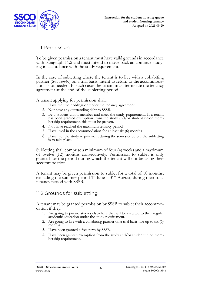

#### 11.1 Permission

To be given permission a tenant must have vaild grounds in accordance with paragraph 11.2 and must intend to move back an continue study- ing in accordance with the study requirement.

In the case of subletting where the tenant is to live with a cohabiting partner (Sw. *sambo*) on a trial basis, intent to return to the accommodation is not needed. In such cases the tenant must terminate the tenancy agreement at the end of the subletting period.

A tenant applying for permission shall:

- 1. Have met their obligation under the tenancy agreement.
- 2. Not have any outstanding debt to SSSB.
- 3. Be a student union member and meet the study requirement. If a tenant has been granted exemption from the study and/or student union membership requirement, this must be proven.
- 4. Not have reached the maximum tenancy period.
- 5. Have lived in the accommodation for at least six (6) months.
- 6. Have met the study requirement during the semester before the subletting is to take place.

Subletting shall comprise a minimum of four (4) weeks and a maximum of twelve (12) months consecutively. Permission to sublet is only granted for the period during which the tenant will not be using their accommodation.

A tenant may be given permission to sublet for a total of 18 months, excluding the summer period  $1^{st}$  June –  $31^{st}$  August, during their total tenancy period with SSSB.

### 11.2 Grounds for subletting

A tenant may be granted permission by SSSB to sublet their accommo- dation if they:

- 1. Are going to pursue studies elsewhere that will be credited to their regular academic education under the study requirement.
- 2. Are going to live with a cohabiting partner on a trial basis, for up to six (6) months
- 3. Have been granted a free term by SSSB.
- 4. Have been granted exemption from the study and/or student union membership requirement.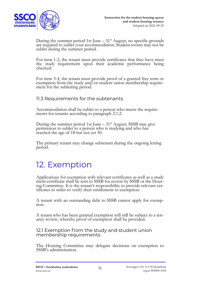

During the summer period 1st June –  $31<sup>st</sup>$  August, no specific grounds are required to sublet your accommodation. Student rooms may not be sublet during the summer period.

For item 1-2, the tenant must provide certificates that they have meet the study requirement upon their academic performance being checked.

For item 3-4, the tenant must provide proof of a granted free term or exemption from the study and/or student union membership requirement for the subletting period.

#### 11.3 Requirements for the subtenants

Accommodation shall be sublet to a person who meets the require- ments for tenants according to paragraph 2.1.2.

During the summer period 1st June –  $31<sup>st</sup>$  August, SSSB may give permission to sublet to a person who is studying and who has reached the age of 18 but not yet 50.

The primary tenant may change subtenant during the ongoing letting period.

## 12. Exemption

Applications for exemption with relevant certificates as well as a study merit certificate shall be sent to SSSB for review by SSSB or the Housing Committee. It is the tenant's responsibility to provide relevant cer- tificates in order to verify their entitlement to exemption.

A tenant with an outstanding debt to SSSB cannot apply for exemption.

A tenant who has been granted exemption will still be subject to a tenancy review, whereby proof of exemption shall be provided.

12.1 Exemption from the study and student union membership requirements

The Housing Committee may delegate decisions on exemption to SSSB's administration.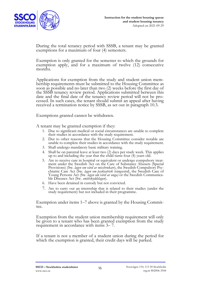

During the total tenancy period with SSSB, a tenant may be granted exemptions for a maximum of four (4) semesters.

Exemption is only granted for the semester to which the grounds for exemption apply, and for a maximum of twelve (12) consecutive months.

Applications for exemption from the study and student union membership requirements must be submitted to the Housing Committee as soon as possible and no later than two (2) weeks before the first day of the SSSB tenancy review period. Applications submitted between this date and the final date of the tenancy review period will not be processed. In such cases, the tenant should submit an appeal after having received a termination notice by SSSB, as set out in paragraph 10.3.

Exemptions granted cannot be withdrawn.

A tenant may be granted exemption if they:

- 1. Due to significant medical or social circumstances are unable to complete their studies in accordance with the study requirement.
- 2. Dur to other reasons that the Housing Committee consider notable are unable to complete their studies in accordance with the study requirement.
- 3. Shall undergo mandatory basic military training.
- 4. Shall be on parental leave at least two (2) days per study week. This applies up to and including the year that the child turns four (4) years old.
- 5. Are to receive care in hospital or equivalent or undergo compulsory treat- ment under the Swedish Act on the Care of Substance Abusers (Special Provisions) (Sw. *lagen om vård av missbrukare*), the Swedish Compulsory Psy- chiatric Care Act (Sw. *lagen om psykiatrisk tvångsvård*), the Swedish Care of Young Persons Act (Sw. *lagen om vård av unga*) or the Swedish Communicable Diseases Act (Sw. *smittskyddslagen*).
- 6. Have been detained in custody but not convicted.
- 7. Are to carry out an internship that is related to their studies (under the study requirement) but not included in their programme.

Exemption under items 1–7 above is granted by the Housing Committee.

Exemption from the student union membership requirement will only be given to a tenant who has been granted exemption from the study requirement in accordance with items 3– 7.

If a tenant is not a member of a student union during the period for which the exemption is granted, their credit days will be parked.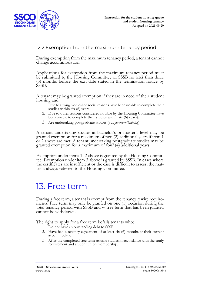

#### 12.2 Exemption from the maximum tenancy period

During exemption from the maximum tenancy period, a tenant cannot change accommodation.

Applications for exemption from the maximum tenancy period must be submitted to the Housing Committee or SSSB no later than three (3) months before the exit date stated in the termination notice by SSSB.

A tenant may be granted exemption if they are in need of their student housing and:

- 1. Due to strong medical or social reasons have been unable to complete their studies within six (6) years.
- 2. Due to other reasons considered notable by the Housing Committee have been unable to complete their studies within six (6) years).
- 3. Are undertaking postgraduate studies (Sw. *forskarutbildning*).

A tenant undertaking studies at bachelor's or master's level may be granted exemption for a maximum of two (2) additional years if item 1 or 2 above are met. A tenant undertaking postgraduate studies may be granted exemption for a maximum of four (4) additional years.

Exemption under items 1–2 above is granted by the Housing Commit-<br>tee. Exemption under item 3 above is granted by SSSB. In cases where the certificates are insufficient or the case is difficult to assess, the matter is always referred to the Housing Committee.

## 13. Free term

During a free term, a tenant is exempt from the tenancy rewire requirements. Free term may only be granted on one (1) occasion during the total tenancy period with SSSB and w free term that has been granted cannot be withdrawn.

The right to apply for a free term befalls tenants who:

- 1. Do not have an outstanding debt to SSSB.
- 2. Have had a tenancy agreement of at least six (6) months at their current accommodation.
- 3. After the completed free term resume studies in accordance with the study requirement and student union membership.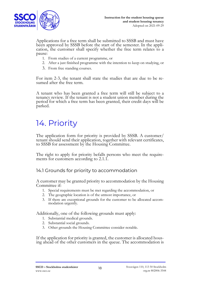

Applications for a free term shall be submitted to SSSB and must have been approved by SSSB before the start of the semester. In the application, the customer shall specify whether the free term relates to a pause:

- 1. From studies of a current programme, or
- 2. After a just finished programme with the intention to keep on studying, or
- 3. From free standing courses.

For item 2-3, the tenant shall state the studies that are due to be resumed after the free term.

A tenant who has been granted a free term will still be subject to a tenancy review. If the tenant is not a student union member during the period for which a free term has been granted, their credit days will be parked.

## 14. Priority

The application form for priority is provided by SSSB. A customer/ tenant should send their application, together with relevant certificates, to SSSB for assessment by the Housing Committee.

The right to apply for priority befalls persons who meet the require- ments for customers according to 2.1.1.

14.1 Grounds for priority to accommodation

A customer may be granted priority to accommodation by the Housing Committee if:

- 1. Special requirements must be met regarding the accommodation, or
- 2. The geographic location is of the utmost importance, or
- 3. If there are exceptional grounds for the customer to be allocated accommodation urgently.

Additionally, one of the following grounds must apply:

- 1. Substantial medical grounds.
- 2. Substantial social grounds.
- 3. Other grounds the Housing Committee consider notable.

If the application for priority is granted, the customer is allocated housing ahead of the other customers in the queue. The accommodation is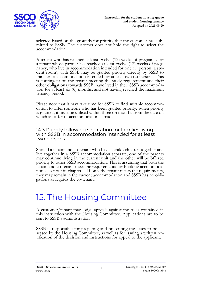

selected based on the grounds for priority that the customer has sub- mitted to SSSB. The customer does not hold the right to select the accommodation.

A tenant who has reached at least twelve (12) weeks of pregnancy, or a tenant whose partner has reached at least twelve (12) weeks of pregnancy, who live in accommodation intended for one (1) person (a student room), with SSSB may be granted priority directly by SSSB to transfer to accommodation intended for at least two (2) persons. This is contingent on the tenant meeting the study requirement and their other obligations towards SSSB, have lived in their SSSB accommodation for at least six (6) months, and not having reached the maximum tenancy period.

Please note that it may take time for SSSB to find suitable accommodation to offer someone who has been granted priority. When priority is granted, it must be utilised within three (3) months from the date on which an offer of accommodation is made.

14.3 Priority following separation for families living with SSSB in accommodation intended for at least two persons

Should a tenant and co-tenant who have a child/children together and live together in a SSSB accommodation separate, one of the parents may continue living in the current unit and the other will be offered priority to other SSSB accommodation. This is assuming that both the tenant and co-tenant meet the requirements for booking accommodation as set out in chapter 4. If only the tenant meets the requirements, they may remain in the current accommodation and SSSB has no obli- gations as regards the co-tenant.

## 15. The Housing Committee

A customer/tenant may lodge appeals against the rules contained in this instruction with the Housing Committee. Applications are to be sent to SSSB's administration.

SSSB is responsible for preparing and presenting the cases to be assessed by the Housing Committee, as well as for issuing a written no- tification of the decision and instructions for appeal to the applicant.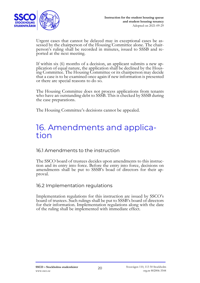

Urgent cases that cannot be delayed may in exceptional cases be assessed by the chairperson of the Housing Committee alone. The chairperson's ruling shall be recorded in minutes, issued to SSSB and reported at the next meeting.

If within six (6) months of a decision, an applicant submits a new ap- plication of equal nature, the application shall be declined by the Housing Committee. The Housing Committee or its chairperson may decide that a case is to be examined once again if new information is presented or there are special reasons to do so.

The Housing Committee does not process applications from tenants who have an outstanding debt to SSSB. This is checked by SSSB during the case preparations.

The Housing Committee's decisions cannot be appealed.

### 16. Amendments and application

### 16.1 Amendments to the instruction

The SSCO board of trustees decides upon amendments to this instruction and its entry into force. Before the entry into force, decisions on amendments shall be put to SSSB's boad of directors for their approval.

#### 16.2 Implementation regulations

Implementation regulations for this instruction are issued by SSCO's board of trustees. Such rulings shall be put to SSSB's board of directors for their information. Implementation regulations along with the date of the ruling shall be implemented with immediate effect.